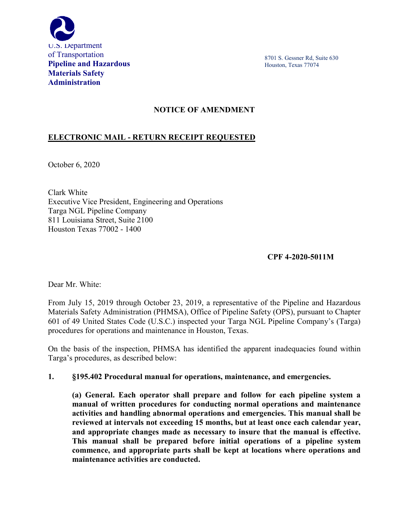

8701 S. Gessner Rd, Suite 630 Houston, Texas 77074

## **NOTICE OF AMENDMENT**

# **ELECTRONIC MAIL - RETURN RECEIPT REQUESTED**

October 6, 2020

Clark White Executive Vice President, Engineering and Operations Targa NGL Pipeline Company 811 Louisiana Street, Suite 2100 Houston Texas 77002 - 1400

### **CPF 4-2020-5011M**

Dear Mr. White:

From July 15, 2019 through October 23, 2019, a representative of the Pipeline and Hazardous Materials Safety Administration (PHMSA), Office of Pipeline Safety (OPS), pursuant to Chapter 601 of 49 United States Code (U.S.C.) inspected your Targa NGL Pipeline Company's (Targa) procedures for operations and maintenance in Houston, Texas.

On the basis of the inspection, PHMSA has identified the apparent inadequacies found within Targa's procedures, as described below:

**1. §195.402 Procedural manual for operations, maintenance, and emergencies.**

**(a) General. Each operator shall prepare and follow for each pipeline system a manual of written procedures for conducting normal operations and maintenance activities and handling abnormal operations and emergencies. This manual shall be reviewed at intervals not exceeding 15 months, but at least once each calendar year, and appropriate changes made as necessary to insure that the manual is effective. This manual shall be prepared before initial operations of a pipeline system commence, and appropriate parts shall be kept at locations where operations and maintenance activities are conducted.**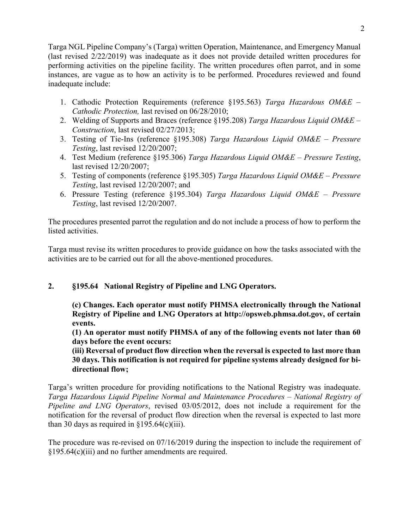Targa NGL Pipeline Company's (Targa) written Operation, Maintenance, and Emergency Manual (last revised 2/22/2019) was inadequate as it does not provide detailed written procedures for performing activities on the pipeline facility. The written procedures often parrot, and in some instances, are vague as to how an activity is to be performed. Procedures reviewed and found inadequate include:

- 1. Cathodic Protection Requirements (reference §195.563) *Targa Hazardous OM&E – Cathodic Protection,* last revised on 06/28/2010;
- 2. Welding of Supports and Braces (reference §195.208) *Targa Hazardous Liquid OM&E – Construction*, last revised 02/27/2013;
- 3. Testing of Tie-Ins (reference §195.308) *Targa Hazardous Liquid OM&E – Pressure Testing*, last revised 12/20/2007;
- 4. Test Medium (reference §195.306) *Targa Hazardous Liquid OM&E – Pressure Testing*, last revised 12/20/2007;
- 5. Testing of components (reference §195.305) *Targa Hazardous Liquid OM&E – Pressure Testing*, last revised 12/20/2007; and
- 6. Pressure Testing (reference §195.304) *Targa Hazardous Liquid OM&E – Pressure Testing*, last revised 12/20/2007.

The procedures presented parrot the regulation and do not include a process of how to perform the listed activities.

Targa must revise its written procedures to provide guidance on how the tasks associated with the activities are to be carried out for all the above-mentioned procedures.

### **2. §195.64 National Registry of Pipeline and LNG Operators.**

**(c) Changes. Each operator must notify PHMSA electronically through the National Registry of Pipeline and LNG Operators at http://opsweb.phmsa.dot.gov, of certain events.**

 **(1) An operator must notify PHMSA of any of the following events not later than 60 days before the event occurs:**

 **(iii) Reversal of product flow direction when the reversal is expected to last more than 30 days. This notification is not required for pipeline systems already designed for bidirectional flow;**

Targa's written procedure for providing notifications to the National Registry was inadequate. *Targa Hazardous Liquid Pipeline Normal and Maintenance Procedures – National Registry of Pipeline and LNG Operators*, revised 03/05/2012, does not include a requirement for the notification for the reversal of product flow direction when the reversal is expected to last more than 30 days as required in  $§195.64(c)(iii)$ .

The procedure was re-revised on 07/16/2019 during the inspection to include the requirement of §195.64(c)(iii) and no further amendments are required.